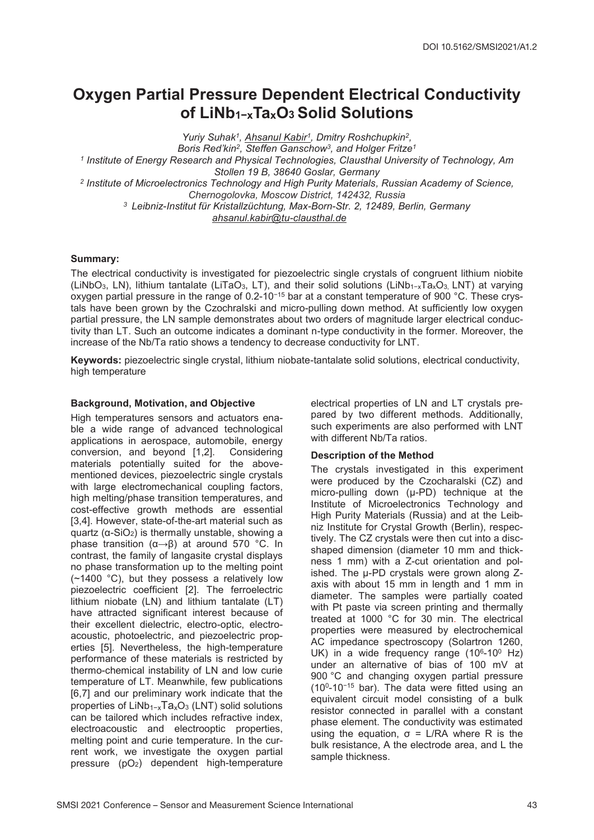# **Oxygen Partial Pressure Dependent Electrical Conductivity of LiNb1−xTaxO3 Solid Solutions**

*Yuriy Suhak1, Ahsanul Kabir1, Dmitry Roshchupkin2, Boris Red'kin2, Steffen Ganschow3, and Holger Fritze1 <sup>1</sup> Institute of Energy Research and Physical Technologies, Clausthal University of Technology, Am Stollen 19 B, 38640 Goslar, Germany <sup>2</sup> Institute of Microelectronics Technology and High Purity Materials, Russian Academy of Science, Chernogolovka, Moscow District, 142432, Russia 3 Leibniz-Institut für Kristallzüchtung, Max-Born-Str. 2, 12489, Berlin, Germany ahsanul.kabir@tu-clausthal.de*

# **Summary:**

The electrical conductivity is investigated for piezoelectric single crystals of congruent lithium niobite (LiNbO3, LN), lithium tantalate (LiTaO3, LT), and their solid solutions (LiNb1−xTaxO3, LNT) at varying oxygen partial pressure in the range of 0.2-10<sup>−</sup><sup>15</sup> bar at a constant temperature of 900 °C. These crystals have been grown by the Czochralski and micro-pulling down method. At sufficiently low oxygen partial pressure, the LN sample demonstrates about two orders of magnitude larger electrical conductivity than LT. Such an outcome indicates a dominant n-type conductivity in the former. Moreover, the increase of the Nb/Ta ratio shows a tendency to decrease conductivity for LNT.

**Keywords:** piezoelectric single crystal, lithium niobate-tantalate solid solutions, electrical conductivity, high temperature

# **Background, Motivation, and Objective**

High temperatures sensors and actuators enable a wide range of advanced technological applications in aerospace, automobile, energy<br>conversion, and beyond [1,2]. Considering  $\overline{\text{conversion}}$ , and beyond  $[1,2]$ . materials potentially suited for the abovementioned devices, piezoelectric single crystals with large electromechanical coupling factors, high melting/phase transition temperatures, and cost-effective growth methods are essential [3,4]. However, state-of-the-art material such as quartz (α-SiO2) is thermally unstable, showing a phase transition (α→β) at around 570 °C. In contrast, the family of langasite crystal displays no phase transformation up to the melting point (~1400 °C), but they possess a relatively low piezoelectric coefficient [2]. The ferroelectric lithium niobate (LN) and lithium tantalate (LT) have attracted significant interest because of their excellent dielectric, electro-optic, electroacoustic, photoelectric, and piezoelectric properties [5]. Nevertheless, the high-temperature performance of these materials is restricted by thermo-chemical instability of LN and low curie temperature of LT. Meanwhile, few publications [6,7] and our preliminary work indicate that the properties of LiNb1−xTaxO3 (LNT) solid solutions can be tailored which includes refractive index, electroacoustic and electrooptic properties, melting point and curie temperature. In the current work, we investigate the oxygen partial pressure (pO2) dependent high-temperature

electrical properties of LN and LT crystals prepared by two different methods. Additionally, such experiments are also performed with LNT with different Nb/Ta ratios.

# **Description of the Method**

The crystals investigated in this experiment were produced by the Czocharalski (CZ) and micro-pulling down (µ-PD) technique at the Institute of Microelectronics Technology and High Purity Materials (Russia) and at the Leibniz Institute for Crystal Growth (Berlin), respectively. The CZ crystals were then cut into a discshaped dimension (diameter 10 mm and thickness 1 mm) with a Z-cut orientation and polished. The µ-PD crystals were grown along Zaxis with about 15 mm in length and 1 mm in diameter. The samples were partially coated with Pt paste via screen printing and thermally treated at 1000 °C for 30 min. The electrical properties were measured by electrochemical AC impedance spectroscopy (Solartron 1260, UK) in a wide frequency range  $(10^6-10^0$  Hz) under an alternative of bias of 100 mV at 900 °C and changing oxygen partial pressure (100-10−<sup>15</sup> bar). The data were fitted using an equivalent circuit model consisting of a bulk resistor connected in parallel with a constant phase element. The conductivity was estimated using the equation,  $σ = L/RA$  where R is the bulk resistance, A the electrode area, and L the sample thickness.